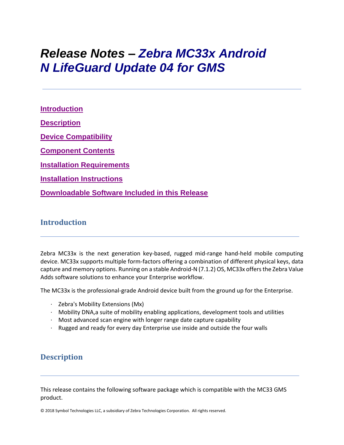# *Release Notes – Zebra MC33x Android N LifeGuard Update 04 for GMS*

**[Introduction](file:///C:/Users/GRM1/Desktop/Falcon_Ironman_N_RN/MC33%20GMS%20Release%20Notes%20v01-01-48-NG-00-A_Update003.htm%23_Introduction) [Description](file:///C:/Users/GRM1/Desktop/Falcon_Ironman_N_RN/MC33%20GMS%20Release%20Notes%20v01-01-48-NG-00-A_Update003.htm%23Description) [Device Compatibility](file:///C:/Users/GRM1/Desktop/Falcon_Ironman_N_RN/MC33%20GMS%20Release%20Notes%20v01-01-48-NG-00-A_Update003.htm%23DeviceCompatibility) [Component Contents](file:///C:/Users/GRM1/Desktop/Falcon_Ironman_N_RN/MC33%20GMS%20Release%20Notes%20v01-01-48-NG-00-A_Update003.htm%23ComponentContents) [Installation Requirements](file:///C:/Users/GRM1/Desktop/Falcon_Ironman_N_RN/MC33%20GMS%20Release%20Notes%20v01-01-48-NG-00-A_Update003.htm%23InstallationRequirements) [Installation Instructions](file:///C:/Users/GRM1/Desktop/Falcon_Ironman_N_RN/MC33%20GMS%20Release%20Notes%20v01-01-48-NG-00-A_Update003.htm%23InstallationInstructions) [Downloadable Software Included in this Release](#page-6-0)**

#### **Introduction**

Zebra MC33x is the next generation key-based, rugged mid-range hand-held mobile computing device. MC33x supports multiple form-factors offering a combination of different physical keys, data capture and memory options. Running on a stable Android-N (7.1.2) OS, MC33x offers the Zebra Value Adds software solutions to enhance your Enterprise workflow.

The MC33x is the professional-grade Android device built from the ground up for the Enterprise.

- · Zebra's Mobility Extensions (Mx)
- · Mobility DNA,a suite of mobility enabling applications, development tools and utilities
- · Most advanced scan engine with longer range date capture capability
- · Rugged and ready for every day Enterprise use inside and outside the four walls

## **Description**

This release contains the following software package which is compatible with the MC33 GMS product.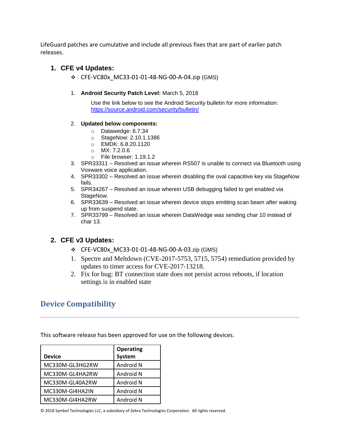LifeGuard patches are cumulative and include all previous fixes that are part of earlier patch releases.

#### **1. CFE v4 Updates:**

❖ CFE-VC80x\_MC33-01-01-48-NG-00-A-04.zip (GMS)

#### 1. **Android Security Patch Level:** March 5, 2018

Use the link below to see the Android Security bulletin for more information: <https://source.android.com/security/bulletin/>

#### 2. **Updated below components:**

- o Datawedge: 6.7.34
- o StageNow: 2.10.1.1386
- o EMDK: 6.8.20.1120
- o MX: 7.2.0.6
- o File browser: 1.19.1.2
- 3. SPR33311 Resolved an issue wherein RS507 is unable to connect via Bluetooth using Voxware voice application.
- 4. SPR33302 Resolved an issue wherein disabling the oval capacitive key via StageNow fails.
- 5. SPR34267 Resolved an issue wherein USB debugging failed to get enabled via StageNow.
- 6. SPR33639 Resolved an issue wherein device stops emitting scan beam after waking up from suspend state.
- 7. SPR33799 Resolved an issue wherein DataWedge was sending char 10 instead of char 13.

#### **2. CFE v3 Updates:**

- ❖ CFE-VC80x\_MC33-01-01-48-NG-00-A-03.zip (GMS)
- 1. Spectre and Meltdown (CVE-2017-5753, 5715, 5754) remediation provided by updates to timer access for CVE-2017-13218.
- 2. Fix for bug: BT connection state does not persist across reboots, if location settings is in enabled state

## **Device Compatibility**

This software release has been approved for use on the following devices.

|                 | <b>Operating</b> |
|-----------------|------------------|
| <b>Device</b>   | System           |
| MC330M-GL3HG2RW | Android N        |
| MC330M-GL4HA2RW | Android N        |
| MC330M-GL40A2RW | Android N        |
| MC330M-GI4HA2IN | Android N        |
| MC330M-GI4HA2RW | Android N        |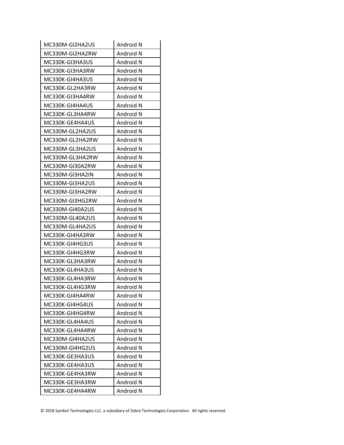| MC330M-GI2HA2US | Android N |
|-----------------|-----------|
| MC330M-GI2HA2RW | Android N |
| MC330K-GI3HA3US | Android N |
| MC330K-GI3HA3RW | Android N |
| MC330K-GI4HA3US | Android N |
| MC330K-GL2HA3RW | Android N |
| MC330K-GI3HA4RW | Android N |
| MC330K-GI4HA4US | Android N |
| MC330K-GL3HA4RW | Android N |
| MC330K-GE4HA4US | Android N |
| MC330M-GL2HA2US | Android N |
| MC330M-GL2HA2RW | Android N |
| MC330M-GL3HA2US | Android N |
| MC330M-GL3HA2RW | Android N |
| MC330M-GI30A2RW | Android N |
| MC330M-GI3HA2IN | Android N |
| MC330M-GI3HA2US | Android N |
| MC330M-GI3HA2RW | Android N |
| MC330M-GI3HG2RW | Android N |
| MC330M-GI40A2US | Android N |
| MC330M-GL40A2US | Android N |
| MC330M-GL4HA2US | Android N |
| MC330K-GI4HA3RW | Android N |
| MC330K-GI4HG3US | Android N |
| MC330K-GI4HG3RW | Android N |
| MC330K-GL3HA3RW | Android N |
| MC330K-GL4HA3US | Android N |
| MC330K-GL4HA3RW | Android N |
| MC330K-GL4HG3RW | Android N |
| MC330K-GI4HA4RW | Android N |
| MC330K-GI4HG4US | Android N |
| MC330K-GI4HG4RW | Android N |
| MC330K-GL4HA4US | Android N |
| MC330K-GL4HA4RW | Android N |
| MC330M-GI4HA2US | Android N |
| MC330M-GI4HG2US | Android N |
| MC330K-GE3HA3US | Android N |
| MC330K-GE4HA3US | Android N |
| MC330K-GE4HA3RW | Android N |
| MC330K-GE3HA3RW | Android N |
| MC330K-GE4HA4RW | Android N |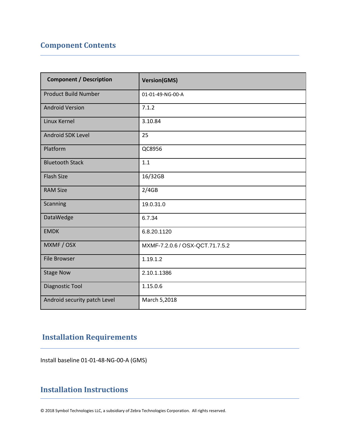# **Component Contents**

| <b>Component / Description</b> | <b>Version(GMS)</b>             |
|--------------------------------|---------------------------------|
| <b>Product Build Number</b>    | 01-01-49-NG-00-A                |
| <b>Android Version</b>         | 7.1.2                           |
| Linux Kernel                   | 3.10.84                         |
| <b>Android SDK Level</b>       | 25                              |
| Platform                       | QC8956                          |
| <b>Bluetooth Stack</b>         | 1.1                             |
| <b>Flash Size</b>              | 16/32GB                         |
| <b>RAM Size</b>                | 2/4GB                           |
| Scanning                       | 19.0.31.0                       |
| DataWedge                      | 6.7.34                          |
| <b>EMDK</b>                    | 6.8.20.1120                     |
| MXMF / OSX                     | MXMF-7.2.0.6 / OSX-QCT.71.7.5.2 |
| <b>File Browser</b>            | 1.19.1.2                        |
| <b>Stage Now</b>               | 2.10.1.1386                     |
| Diagnostic Tool                | 1.15.0.6                        |
| Android security patch Level   | March 5,2018                    |

# **Installation Requirements**

Install baseline 01-01-48-NG-00-A (GMS)

## **Installation Instructions**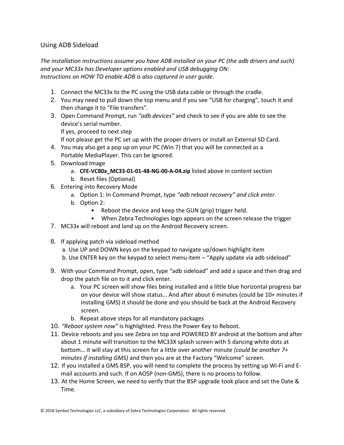#### Using ADB Sideload

*The installation instructions assume you have ADB installed on your PC (the adb drivers and such) and your MC33x has Developer options enabled and USB debugging ON: Instructions on HOW TO enable ADB is also captured in user guide.*

- 1. Connect the MC33x to the PC using the USB data cable or through the cradle.
- 2. You may need to pull down the top menu and if you see "USB for charging", touch it and then change it to "File transfers".
- 3. Open Command Prompt, run *"adb devices"* and check to see if you are able to see the device's serial number. If yes, proceed to next step

If not please get the PC set up with the proper drivers or install an External SD Card.

- 4. You may also get a pop up on your PC (Win 7) that you will be connected as a Portable MediaPlayer. This can be ignored.
- 5. Download Image
	- a. **CFE-VC80x\_MC33-01-01-48-NG-00-A-04.zip** listed above in content section
	- b. Reset files (Optional)
- 6. Entering into Recovery Mode
	- a. Option 1: In Command Prompt, type *"adb reboot recovery" and click enter*.
	- b. Option 2:
		- Reboot the device and keep the GUN (grip) trigger held.
		- When Zebra Technologies logo appears on the screen release the trigger
- 7. MC33x will reboot and land up on the Android Recovery screen.
- 8. If applying patch via sideload method
	- a. Use UP and DOWN keys on the keypad to navigate up/down highlight item
	- b. Use ENTER key on the keypad to select menu item "Apply update via adb sideload"
- 9. With your Command Prompt, open, type "adb sideload" and add a space and then drag and drop the patch file on to it and click enter.
	- a. Your PC screen will show files being installed and a little blue horizontal progress bar on your device will show status… And after about 6 minutes (could be 10+ minutes if installing GMS) it should be done and you should be back at the Android Recovery screen.
	- b. Repeat above steps for all mandatory packages
- 10. *"Reboot system now"* is highlighted. Press the Power Key to Reboot.
- 11. Device reboots and you see Zebra on top and POWERED BY android at the bottom and after about 1 minute will transition to the MC33X splash screen with 5 dancing white dots at bottom… it will stay at this screen for a little over another minute *(could be another 7+ minutes if installing GMS)* and then you are at the Factory "Welcome" screen.
- 12. If you installed a GMS BSP, you will need to complete the process by setting up Wi‐Fi and E‐ mail accounts and such. If on AOSP (non‐GMS), there is no process to follow.
- 13. At the Home Screen, we need to verify that the BSP upgrade took place and set the Date & Time.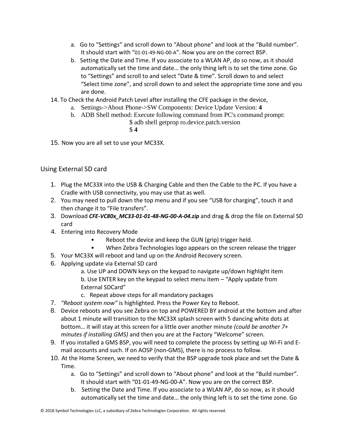- a. Go to "Settings" and scroll down to "About phone" and look at the "Build number". It should start with "01-01-49-NG-00-A". Now you are on the correct BSP.
- b. Setting the Date and Time. If you associate to a WLAN AP, do so now, as it should automatically set the time and date… the only thing left is to set the time zone. Go to "Settings" and scroll to and select "Date & time". Scroll down to and select "Select time zone", and scroll down to and select the appropriate time zone and you are done.
- 14. To Check the Android Patch Level after installing the CFE package in the device,
	- a. Settings->About Phone->SW Components: Device Update Version: **4**
	- b. ADB Shell method: Execute following command from PC's command prompt: \$ adb shell getprop ro.device.patch.version
		- \$ **4**
- 15. Now you are all set to use your MC33X.

#### Using External SD card

- 1. Plug the MC33X into the USB & Charging Cable and then the Cable to the PC. If you have a Cradle with USB connectivity, you may use that as well.
- 2. You may need to pull down the top menu and if you see "USB for charging", touch it and then change it to "File transfers".
- 3. Download *CFE-VC80x\_MC33-01-01-48-NG-00-A-04.zip* and drag & drop the file on External SD card
- 4. Entering into Recovery Mode
	- Reboot the device and keep the GUN (grip) trigger held.
	- When Zebra Technologies logo appears on the screen release the trigger
- 5. Your MC33X will reboot and land up on the Android Recovery screen.
- 6. Applying update via External SD card
	- a. Use UP and DOWN keys on the keypad to navigate up/down highlight item b. Use ENTER key on the keypad to select menu item – "Apply update from External SDCard"
	- c. Repeat above steps for all mandatory packages
- 7. *"Reboot system now"* is highlighted. Press the Power Key to Reboot.
- 8. Device reboots and you see Zebra on top and POWERED BY android at the bottom and after about 1 minute will transition to the MC33X splash screen with 5 dancing white dots at bottom… it will stay at this screen for a little over another minute *(could be another 7+ minutes if installing GMS)* and then you are at the Factory "Welcome" screen.
- 9. If you installed a GMS BSP, you will need to complete the process by setting up Wi‐Fi and E‐ mail accounts and such. If on AOSP (non‐GMS), there is no process to follow.
- 10. At the Home Screen, we need to verify that the BSP upgrade took place and set the Date & Time.
	- a. Go to "Settings" and scroll down to "About phone" and look at the "Build number". It should start with "01-01-49-NG-00-A". Now you are on the correct BSP.
	- b. Setting the Date and Time. If you associate to a WLAN AP, do so now, as it should automatically set the time and date… the only thing left is to set the time zone. Go